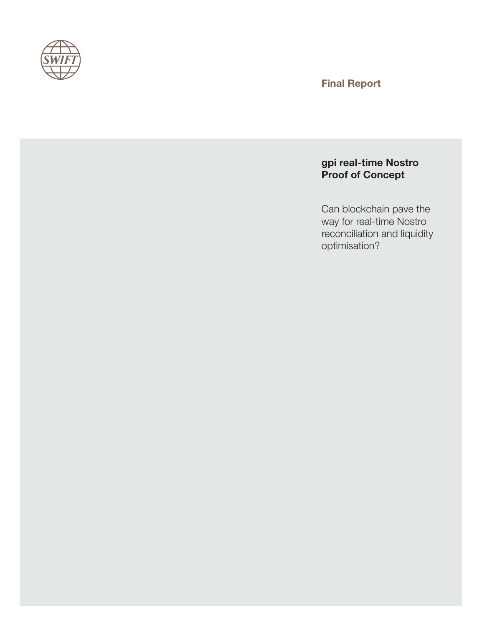

Final Report

# gpi real-time Nostro Proof of Concept

Can blockchain pave the way for real-time Nostro reconciliation and liquidity optimisation?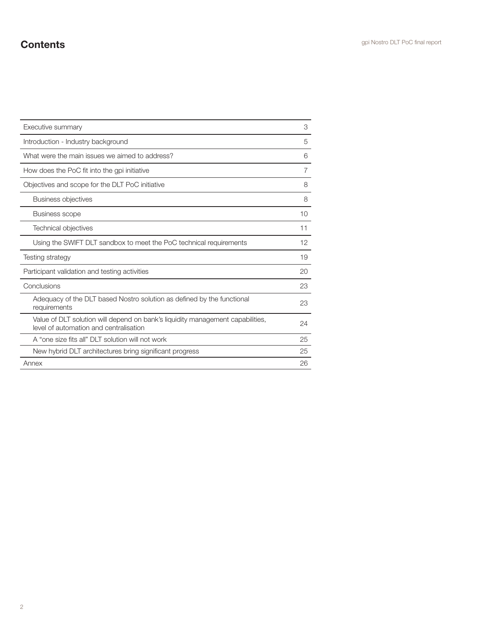# **Contents Contents Contents Contents Contents Contents Contents Contents CONTENTS CONTENTS CONTENTS CONTENTS CONTENTS CONTENTS CONTENTS CONTENTS CONTENTS CONTENTS CONTENTS CONTENTS C**

| Executive summary                                                                                                        | З  |
|--------------------------------------------------------------------------------------------------------------------------|----|
| Introduction - Industry background                                                                                       | 5  |
| What were the main issues we aimed to address?                                                                           |    |
| How does the PoC fit into the gpi initiative                                                                             | 7  |
| Objectives and scope for the DLT PoC initiative                                                                          | 8  |
| <b>Business objectives</b>                                                                                               | 8  |
| <b>Business scope</b>                                                                                                    | 10 |
| <b>Technical objectives</b>                                                                                              | 11 |
| Using the SWIFT DLT sandbox to meet the PoC technical requirements                                                       | 12 |
| Testing strategy                                                                                                         | 19 |
| Participant validation and testing activities                                                                            | 20 |
| Conclusions                                                                                                              |    |
| Adequacy of the DLT based Nostro solution as defined by the functional<br>requirements                                   | 23 |
| Value of DLT solution will depend on bank's liquidity management capabilities,<br>level of automation and centralisation | 24 |
| A "one size fits all" DLT solution will not work                                                                         | 25 |
| New hybrid DLT architectures bring significant progress                                                                  | 25 |
| Annex                                                                                                                    | 26 |
|                                                                                                                          |    |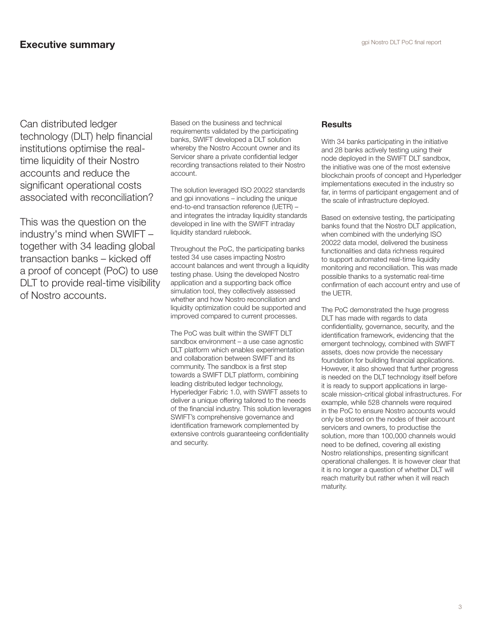Can distributed ledger technology (DLT) help financial institutions optimise the realtime liquidity of their Nostro accounts and reduce the significant operational costs associated with reconciliation?

This was the question on the industry's mind when SWIFT – together with 34 leading global transaction banks – kicked off a proof of concept (PoC) to use DLT to provide real-time visibility of Nostro accounts.

Based on the business and technical requirements validated by the participating banks, SWIFT developed a DLT solution whereby the Nostro Account owner and its Servicer share a private confidential ledger recording transactions related to their Nostro account.

The solution leveraged ISO 20022 standards and gpi innovations – including the unique end-to-end transaction reference (UETR) – and integrates the intraday liquidity standards developed in line with the SWIFT intraday liquidity standard rulebook.

Throughout the PoC, the participating banks tested 34 use cases impacting Nostro account balances and went through a liquidity testing phase. Using the developed Nostro application and a supporting back office simulation tool, they collectively assessed whether and how Nostro reconciliation and liquidity optimization could be supported and improved compared to current processes.

The PoC was built within the SWIFT DLT sandbox environment – a use case agnostic DLT platform which enables experimentation and collaboration between SWIFT and its community. The sandbox is a first step towards a SWIFT DLT platform, combining leading distributed ledger technology, Hyperledger Fabric 1.0, with SWIFT assets to deliver a unique offering tailored to the needs of the financial industry. This solution leverages SWIFT's comprehensive governance and identification framework complemented by extensive controls guaranteeing confidentiality and security.

### **Results**

With 34 banks participating in the initiative and 28 banks actively testing using their node deployed in the SWIFT DLT sandbox, the initiative was one of the most extensive blockchain proofs of concept and Hyperledger implementations executed in the industry so far, in terms of participant engagement and of the scale of infrastructure deployed.

Based on extensive testing, the participating banks found that the Nostro DLT application, when combined with the underlying ISO 20022 data model, delivered the business functionalities and data richness required to support automated real-time liquidity monitoring and reconciliation. This was made possible thanks to a systematic real-time confirmation of each account entry and use of the UETR.

The PoC demonstrated the huge progress DLT has made with regards to data confidentiality, governance, security, and the identification framework, evidencing that the emergent technology, combined with SWIFT assets, does now provide the necessary foundation for building financial applications. However, it also showed that further progress is needed on the DLT technology itself before it is ready to support applications in largescale mission-critical global infrastructures. For example, while 528 channels were required in the PoC to ensure Nostro accounts would only be stored on the nodes of their account servicers and owners, to productise the solution, more than 100,000 channels would need to be defined, covering all existing Nostro relationships, presenting significant operational challenges. It is however clear that it is no longer a question of whether DLT will reach maturity but rather when it will reach maturity.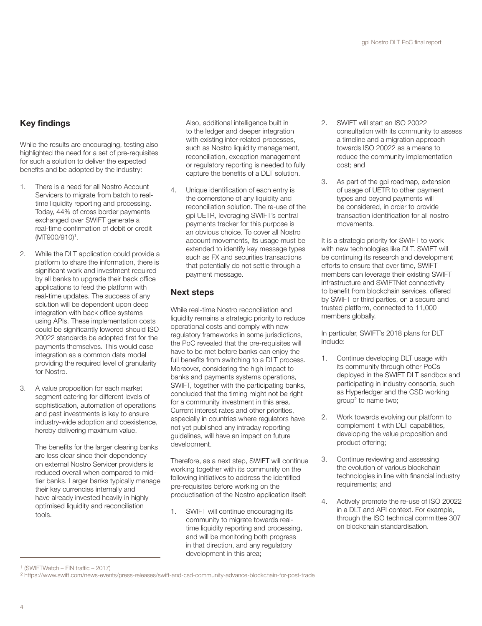## Key findings

While the results are encouraging, testing also highlighted the need for a set of pre-requisites for such a solution to deliver the expected benefits and be adopted by the industry:

- 1. There is a need for all Nostro Account Servicers to migrate from batch to realtime liquidity reporting and processing. Today, 44% of cross border payments exchanged over SWIFT generate a real-time confirmation of debit or credit (MT900/910)1 .
- 2. While the DLT application could provide a platform to share the information, there is significant work and investment required by all banks to upgrade their back office applications to feed the platform with real-time updates. The success of any solution will be dependent upon deep integration with back office systems using APIs. These implementation costs could be significantly lowered should ISO 20022 standards be adopted first for the payments themselves. This would ease integration as a common data model providing the required level of granularity for Nostro.
- 3. A value proposition for each market segment catering for different levels of sophistication, automation of operations and past investments is key to ensure industry-wide adoption and coexistence, hereby delivering maximum value.

The benefits for the larger clearing banks are less clear since their dependency on external Nostro Servicer providers is reduced overall when compared to midtier banks. Larger banks typically manage their key currencies internally and have already invested heavily in highly optimised liquidity and reconciliation tools.

Also, additional intelligence built in to the ledger and deeper integration with existing inter-related processes, such as Nostro liquidity management, reconciliation, exception management or regulatory reporting is needed to fully capture the benefits of a DLT solution.

4. Unique identification of each entry is the cornerstone of any liquidity and reconciliation solution. The re-use of the gpi UETR, leveraging SWIFT's central payments tracker for this purpose is an obvious choice. To cover all Nostro account movements, its usage must be extended to identify key message types such as FX and securities transactions that potentially do not settle through a payment message.

#### Next steps

While real-time Nostro reconciliation and liquidity remains a strategic priority to reduce operational costs and comply with new regulatory frameworks in some jurisdictions, the PoC revealed that the pre-requisites will have to be met before banks can enjoy the full benefits from switching to a DLT process. Moreover, considering the high impact to banks and payments systems operations, SWIFT, together with the participating banks, concluded that the timing might not be right for a community investment in this area. Current interest rates and other priorities, especially in countries where regulators have not yet published any intraday reporting guidelines, will have an impact on future development.

Therefore, as a next step, SWIFT will continue working together with its community on the following initiatives to address the identified pre-requisites before working on the productisation of the Nostro application itself:

1. SWIFT will continue encouraging its community to migrate towards realtime liquidity reporting and processing, and will be monitoring both progress in that direction, and any regulatory development in this area;

- 2. SWIFT will start an ISO 20022 consultation with its community to assess a timeline and a migration approach towards ISO 20022 as a means to reduce the community implementation cost; and
- 3. As part of the gpi roadmap, extension of usage of UETR to other payment types and beyond payments will be considered, in order to provide transaction identification for all nostro movements.

It is a strategic priority for SWIFT to work with new technologies like DLT. SWIFT will be continuing its research and development efforts to ensure that over time, SWIFT members can leverage their existing SWIFT infrastructure and SWIFTNet connectivity to benefit from blockchain services, offered by SWIFT or third parties, on a secure and trusted platform, connected to 11,000 members globally.

In particular, SWIFT's 2018 plans for DLT include:

- 1. Continue developing DLT usage with its community through other PoCs deployed in the SWIFT DLT sandbox and participating in industry consortia, such as Hyperledger and the CSD working group2 to name two;
- 2. Work towards evolving our platform to complement it with DLT capabilities, developing the value proposition and product offering;
- 3. Continue reviewing and assessing the evolution of various blockchain technologies in line with financial industry requirements; and
- 4. Actively promote the re-use of ISO 20022 in a DLT and API context. For example, through the ISO technical committee 307 on blockchain standardisation.

<sup>1 (</sup>SWIFTWatch – FIN traffic – 2017)

<sup>2</sup> https://www.swift.com/news-events/press-releases/swift-and-csd-community-advance-blockchain-for-post-trade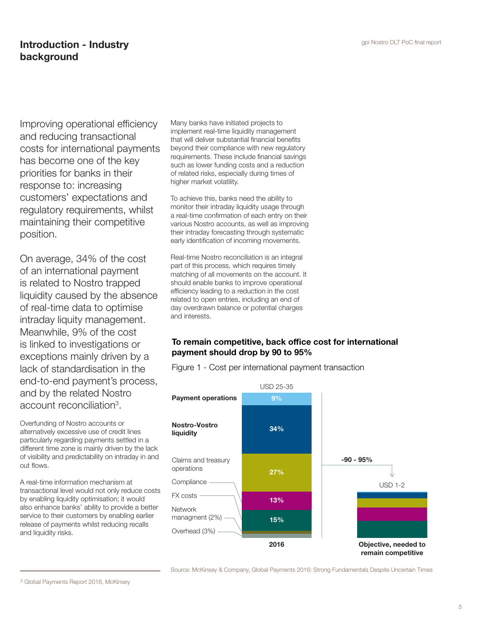## **Introduction - Industry** and the control of the set of the set of the set of the set of the set of the set of the set of the set of the set of the set of the set of the set of the set of the set of the set of the set of t background

Improving operational efficiency and reducing transactional costs for international payments has become one of the key priorities for banks in their response to: increasing customers' expectations and regulatory requirements, whilst maintaining their competitive position.

On average, 34% of the cost of an international payment is related to Nostro trapped liquidity caused by the absence of real-time data to optimise intraday liquity management. Meanwhile, 9% of the cost is linked to investigations or exceptions mainly driven by a lack of standardisation in the end-to-end payment's process, and by the related Nostro account reconciliation<sup>3</sup>.

Overfunding of Nostro accounts or alternatively excessive use of credit lines particularly regarding payments settled in a different time zone is mainly driven by the lack of visibility and predictability on intraday in and out flows.

A real-time information mechanism at transactional level would not only reduce costs by enabling liquidity optimisation; it would also enhance banks' ability to provide a better service to their customers by enabling earlier release of payments whilst reducing recalls and liquidity risks.

Many banks have initiated projects to implement real-time liquidity management that will deliver substantial financial benefits beyond their compliance with new regulatory requirements. These include financial savings such as lower funding costs and a reduction of related risks, especially during times of higher market volatility.

To achieve this, banks need the ability to monitor their intraday liquidity usage through a real-time confirmation of each entry on their various Nostro accounts, as well as improving their intraday forecasting through systematic early identification of incoming movements.

Real-time Nostro reconciliation is an integral part of this process, which requires timely matching of all movements on the account. It should enable banks to improve operational efficiency leading to a reduction in the cost related to open entries, including an end of day overdrawn balance or potential charges and interests.

## To remain competitive, back office cost for international payment should drop by 90 to 95%

Figure 1 - Cost per international payment transaction



Source: McKinsey & Company, Global Payments 2016: Strong Fundamentals Despite Uncertain Times Source: McKinsey & Company, Global Payments 2016: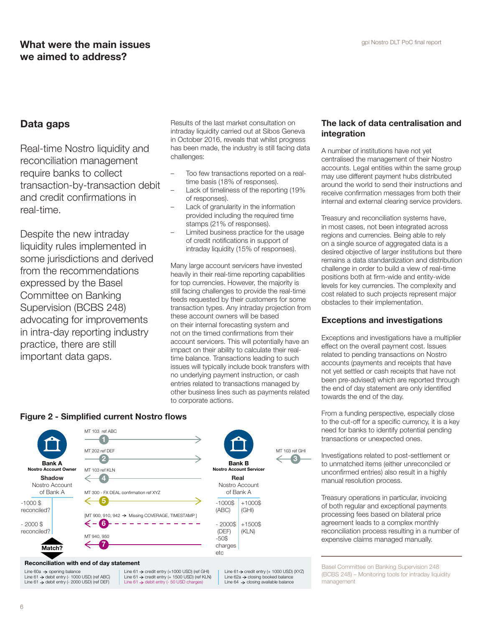## What were the main issues and the main issues and the main of the main term of the state of  $\mathsf{g}_{\text{pi}}$  Mostro DLT PoC final report we aimed to address?

## Data gaps

Real-time Nostro liquidity and reconciliation management require banks to collect transaction-by-transaction debit and credit confirmations in real-time.

Despite the new intraday liquidity rules implemented in some jurisdictions and derived from the recommendations expressed by the Basel Committee on Banking Supervision (BCBS 248) advocating for improvements in intra-day reporting industry practice, there are still important data gaps.

Results of the last market consultation on intraday liquidity carried out at Sibos Geneva in October 2016, reveals that whilst progress has been made, the industry is still facing data challenges:

- Too few transactions reported on a realtime basis (18% of responses).
- Lack of timeliness of the reporting (19% of responses).
- Lack of granularity in the information provided including the required time stamps (21% of responses).
- Limited business practice for the usage of credit notifications in support of intraday liquidity (15% of responses).

Many large account servicers have invested heavily in their real-time reporting capabilities for top currencies. However, the majority is still facing challenges to provide the real-time feeds requested by their customers for some transaction types. Any intraday projection from these account owners will be based on their internal forecasting system and not on the timed confirmations from their account servicers. This will potentially have an impact on their ability to calculate their realtime balance. Transactions leading to such issues will typically include book transfers with no underlying payment instruction, or cash entries related to transactions managed by other business lines such as payments related to corporate actions.

> Bank B **Nostro Account Servicer** Real Nostro Account of Bank A -1000\$ (ABC) - 2000\$ (DEF) -50\$ charges etc

+1000\$ (GHI) +1500\$ (KLN)

MT 103 ref GHI  $\leftarrow$ ഒ

### The lack of data centralisation and integration

A number of institutions have not yet centralised the management of their Nostro accounts. Legal entities within the same group may use different payment hubs distributed around the world to send their instructions and receive confirmation messages from both their internal and external clearing service providers.

Treasury and reconciliation systems have, in most cases, not been integrated across regions and currencies. Being able to rely on a single source of aggregated data is a desired objective of larger institutions but there remains a data standardization and distribution challenge in order to build a view of real-time positions both at firm-wide and entity-wide levels for key currencies. The complexity and cost related to such projects represent major obstacles to their implementation.

### Exceptions and investigations

Exceptions and investigations have a multiplier effect on the overall payment cost. Issues related to pending transactions on Nostro accounts (payments and receipts that have not yet settled or cash receipts that have not been pre-advised) which are reported through the end of day statement are only identified towards the end of the day.

From a funding perspective, especially close to the cut-off for a specific currency, it is a key need for banks to identify potential pending transactions or unexpected ones.

Investigations related to post-settlement or to unmatched items (either unreconciled or unconfirmed entries) also result in a highly manual resolution process.

Treasury operations in particular, invoicing of both regular and exceptional payments processing fees based on bilateral price agreement leads to a complex monthly reconciliation process resulting in a number of expensive claims managed manually.

#### Reconciliation with end of day statement

Line 60a → opening balance<br>Line 61 → debit entry (- 1000 USD) (ref ABC)<br>Line 61 → debit entry (- 2000 USD) (ref DEF)

Bank A **Nostro Account Owne** Shadow Nostro Account of Bank A

Match?

 $-1000$ \$ reconciled?  $-2000$ \$ reconciled?

> Line  $61 \Rightarrow$  credit entry (+1000 USD) (ref GHI) Line 61 → credit entry (+ 1500 USD) (ref KLN)<br>Line 61 → debit entry (- 50 USD charges)

[MT 900, 910, 942 > Missing COVERAGE, TIMESTAMP ]

MT 300 - FX DEAL confirmation ref XYZ

Line  $61 \rightarrow$  credit entry (+ 1000 USD) (XYZ) Line 62a  $\rightarrow$  closing booked balance  $Line 64 \rightarrow closing$  available balance

Basel Committee on Banking Supervision 248 (BCBS 248) – Monitoring tools for intraday liquidity management

## Figure 2 - Simplified current Nostro flows

MT 103 ref ABC 1 MT 202 ref DEF  $\boldsymbol{\Omega}$ 

MT 103 ref KLN 4

6 MT 940, 950 7

5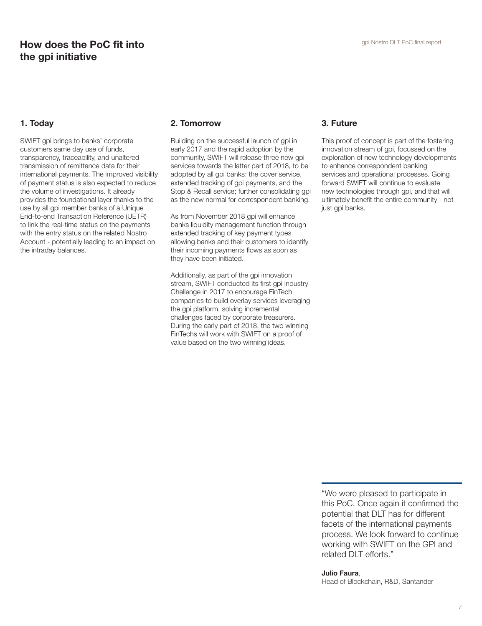#### 1. Today

SWIFT gpi brings to banks' corporate customers same day use of funds, transparency, traceability, and unaltered transmission of remittance data for their international payments. The improved visibility of payment status is also expected to reduce the volume of investigations. It already provides the foundational layer thanks to the use by all gpi member banks of a Unique End-to-end Transaction Reference (UETR) to link the real-time status on the payments with the entry status on the related Nostro Account - potentially leading to an impact on the intraday balances.

#### 2. Tomorrow

Building on the successful launch of gpi in early 2017 and the rapid adoption by the community, SWIFT will release three new gpi services towards the latter part of 2018, to be adopted by all gpi banks: the cover service, extended tracking of gpi payments, and the Stop & Recall service; further consolidating gpi as the new normal for correspondent banking.

As from November 2018 gpi will enhance banks liquidity management function through extended tracking of key payment types allowing banks and their customers to identify their incoming payments flows as soon as they have been initiated.

Additionally, as part of the gpi innovation stream, SWIFT conducted its first gpi Industry Challenge in 2017 to encourage FinTech companies to build overlay services leveraging the gpi platform, solving incremental challenges faced by corporate treasurers. During the early part of 2018, the two winning FinTechs will work with SWIFT on a proof of value based on the two winning ideas.

#### 3. Future

This proof of concept is part of the fostering innovation stream of gpi, focussed on the exploration of new technology developments to enhance correspondent banking services and operational processes. Going forward SWIFT will continue to evaluate new technologies through gpi, and that will ultimately benefit the entire community - not just gpi banks.

"We were pleased to participate in this PoC. Once again it confirmed the potential that DLT has for different facets of the international payments process. We look forward to continue working with SWIFT on the GPI and related DLT efforts."

Julio Faura, Head of Blockchain, R&D, Santander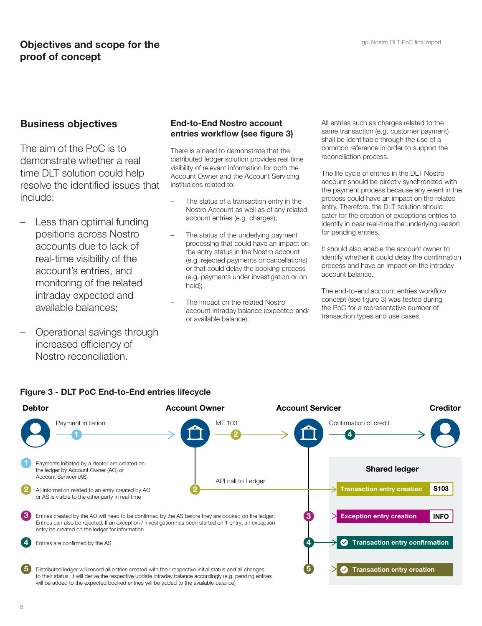# **Objectives and scope for the gpi Nostro DLT PoC final report** proof of concept

### Business objectives

The aim of the PoC is to demonstrate whether a real time DLT solution could help resolve the identified issues that include:

- Less than optimal funding positions across Nostro accounts due to lack of real-time visibility of the account's entries, and monitoring of the related intraday expected and available balances;
- Operational savings through increased efficiency of Nostro reconciliation.

### End-to-End Nostro account entries workflow (see figure 3)

There is a need to demonstrate that the distributed ledger solution provides real time visibility of relevant information for both the Account Owner and the Account Servicing institutions related to:

- The status of a transaction entry in the Nostro Account as well as of any related account entries (e.g. charges);
- The status of the underlying payment processing that could have an impact on the entry status in the Nostro account (e.g. rejected payments or cancellations) or that could delay the booking process (e.g. payments under investigation or on hold);
- The impact on the related Nostro account intraday balance (expected and/ or available balance).

All entries such as charges related to the same transaction (e.g. customer payment) shall be identifiable through the use of a common reference in order to support the reconciliation process.

The life cycle of entries in the DLT Nostro account should be directly synchronized with the payment process because any event in the process could have an impact on the related entry. Therefore, the DLT solution should cater for the creation of exceptions entries to identify in near real-time the underlying reason for pending entries.

It should also enable the account owner to identify whether it could delay the confirmation process and have an impact on the intraday account balance.

The end-to-end account entries workflow concept (see figure 3) was tested during the PoC for a representative number of transaction types and use cases.



#### Figure 3 - DLT PoC End-to-End entries lifecycle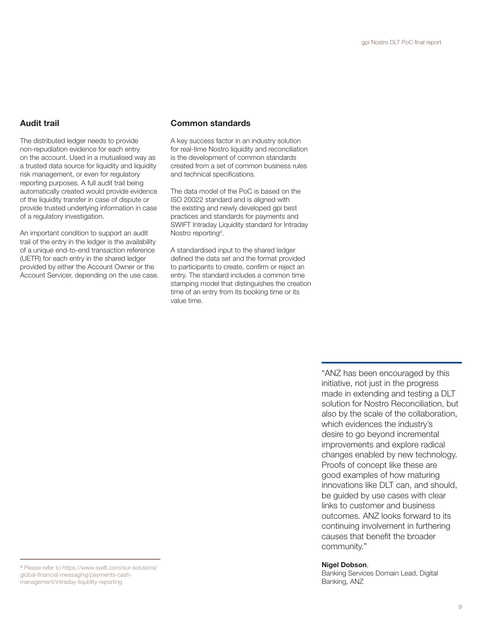#### Audit trail

The distributed ledger needs to provide non-repudiation evidence for each entry on the account. Used in a mutualised way as a trusted data source for liquidity and liquidity risk management, or even for regulatory reporting purposes. A full audit trail being automatically created would provide evidence of the liquidity transfer in case of dispute or provide trusted underlying information in case of a regulatory investigation.

An important condition to support an audit trail of the entry in the ledger is the availability of a unique end-to-end transaction reference (UETR) for each entry in the shared ledger provided by either the Account Owner or the Account Servicer, depending on the use case.

#### Common standards

A key success factor in an industry solution for real-time Nostro liquidity and reconciliation is the development of common standards created from a set of common business rules and technical specifications.

The data model of the PoC is based on the ISO 20022 standard and is aligned with the existing and newly developed gpi best practices and standards for payments and SWIFT Intraday Liquidity standard for Intraday Nostro reporting4 .

A standardised input to the shared ledger defined the data set and the format provided to participants to create, confirm or reject an entry. The standard includes a common time stamping model that distinguishes the creation time of an entry from its booking time or its value time.

> "ANZ has been encouraged by this initiative, not just in the progress made in extending and testing a DLT solution for Nostro Reconciliation, but also by the scale of the collaboration, which evidences the industry's desire to go beyond incremental improvements and explore radical changes enabled by new technology. Proofs of concept like these are good examples of how maturing innovations like DLT can, and should, be guided by use cases with clear links to customer and business outcomes. ANZ looks forward to its continuing involvement in furthering causes that benefit the broader community."

#### Nigel Dobson,

Banking Services Domain Lead, Digital Banking, ANZ

<sup>4</sup> Please refer to https://www.swift.com/our-solutions/ global-financial-messaging/payments-cashmanagement/intraday-liquidity-reporting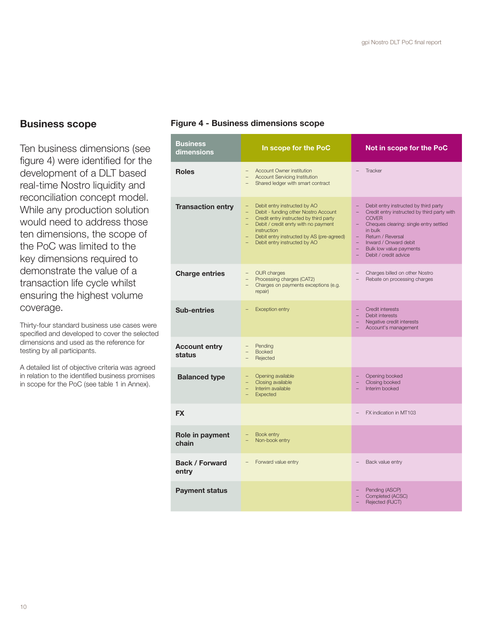## Business scope

Ten business dimensions (see figure 4) were identified for the development of a DLT based real-time Nostro liquidity and reconciliation concept model. While any production solution would need to address those ten dimensions, the scope of the PoC was limited to the key dimensions required to demonstrate the value of a transaction life cycle whilst ensuring the highest volume coverage.

Thirty-four standard business use cases were specified and developed to cover the selected dimensions and used as the reference for testing by all participants.

A detailed list of objective criteria was agreed in relation to the identified business promises in scope for the PoC (see table 1 in Annex).

#### Figure 4 - Business dimensions scope

| <b>Business</b><br>dimensions  | In scope for the PoC                                                                                                                                                                                                                                                                    | Not in scope for the PoC                                                                                                                                                                                                                                                                                    |
|--------------------------------|-----------------------------------------------------------------------------------------------------------------------------------------------------------------------------------------------------------------------------------------------------------------------------------------|-------------------------------------------------------------------------------------------------------------------------------------------------------------------------------------------------------------------------------------------------------------------------------------------------------------|
| <b>Roles</b>                   | - Account Owner institution<br><b>Account Servicing Institution</b><br>$-$<br>Shared ledger with smart contract                                                                                                                                                                         | Tracker                                                                                                                                                                                                                                                                                                     |
| <b>Transaction entry</b>       | Debit entry instructed by AO<br>$\equiv$<br>Debit - funding other Nostro Account<br>$\equiv$<br>- Credit entry instructed by third party<br>- Debit / credit enrty with no payment<br><i>instruction</i><br>- Debit entry instructed by AS (pre-agreed)<br>Debit entry instructed by AO | Debit entry instructed by third party<br>Credit entry instructed by third party with<br>$\qquad \qquad -$<br><b>COVER</b><br>Cheques clearing: single entry settled<br>$\qquad \qquad -$<br>in bulk<br>Return / Reversal<br>Inward / Onward debit<br>Bulk low value payments<br>Debit / credit advice<br>÷. |
| <b>Charge entries</b>          | - OUR charges<br>Processing charges (CAT2)<br>$-$<br>Charges on payments exceptions (e.g.<br>repair)                                                                                                                                                                                    | Charges billed on other Nostro<br>Rebate on processing charges                                                                                                                                                                                                                                              |
| <b>Sub-entries</b>             | <b>Exception entry</b>                                                                                                                                                                                                                                                                  | Credit interests<br>Debit interests<br>Negative credit interests<br>Account's management                                                                                                                                                                                                                    |
| <b>Account entry</b><br>status | Pending<br><b>Booked</b><br>Rejected                                                                                                                                                                                                                                                    |                                                                                                                                                                                                                                                                                                             |
| <b>Balanced type</b>           | Opening available<br>Ξ.<br>Closing available<br>$\equiv$<br>Interim available<br>Expected                                                                                                                                                                                               | Opening booked<br>Closing booked<br>Interim booked                                                                                                                                                                                                                                                          |
| <b>FX</b>                      |                                                                                                                                                                                                                                                                                         | FX indication in MT103                                                                                                                                                                                                                                                                                      |
| Role in payment<br>chain       | Book entry<br>Non-book entry<br>$\equiv$                                                                                                                                                                                                                                                |                                                                                                                                                                                                                                                                                                             |
| <b>Back / Forward</b><br>entry | Forward value entry                                                                                                                                                                                                                                                                     | Back value entry                                                                                                                                                                                                                                                                                            |
| <b>Payment status</b>          |                                                                                                                                                                                                                                                                                         | Pending (ASCP)<br>Completed (ACSC)<br>Rejected (RJCT)                                                                                                                                                                                                                                                       |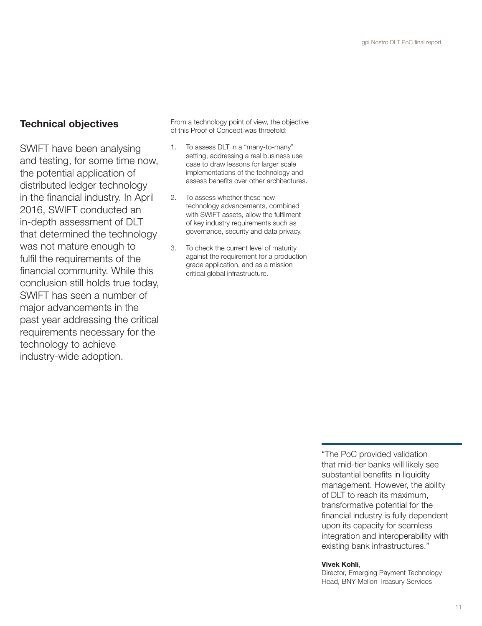## Technical objectives

SWIFT have been analysing and testing, for some time now, the potential application of distributed ledger technology in the financial industry. In April 2016, SWIFT conducted an in-depth assessment of DLT that determined the technology was not mature enough to fulfil the requirements of the financial community. While this conclusion still holds true today, SWIFT has seen a number of major advancements in the past year addressing the critical requirements necessary for the technology to achieve industry-wide adoption.

From a technology point of view, the objective of this Proof of Concept was threefold:

- 1. To assess DLT in a "many-to-many" setting, addressing a real business use case to draw lessons for larger scale implementations of the technology and assess benefits over other architectures.
- 2. To assess whether these new technology advancements, combined with SWIFT assets, allow the fulfilment of key industry requirements such as governance, security and data privacy.
- 3. To check the current level of maturity against the requirement for a production grade application, and as a mission critical global infrastructure.

"The PoC provided validation that mid-tier banks will likely see substantial benefits in liquidity management. However, the ability of DLT to reach its maximum, transformative potential for the financial industry is fully dependent upon its capacity for seamless integration and interoperability with existing bank infrastructures."

#### Vivek Kohli,

Director, Emerging Payment Technology Head, BNY Mellon Treasury Services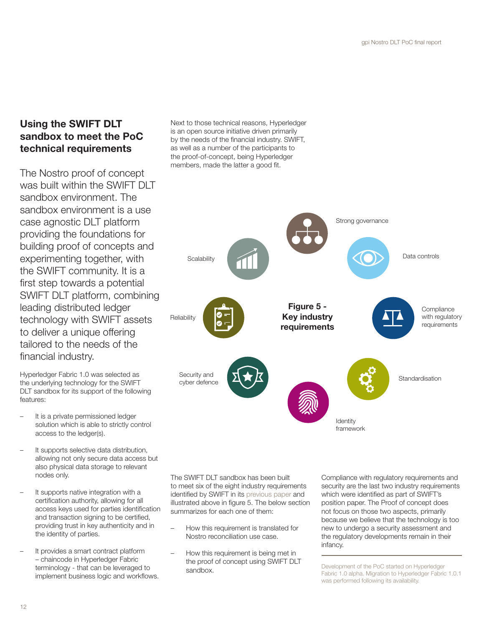# Using the SWIFT DLT sandbox to meet the PoC technical requirements

The Nostro proof of concept was built within the SWIFT DLT sandbox environment. The sandbox environment is a use case agnostic DLT platform providing the foundations for building proof of concepts and experimenting together, with the SWIFT community. It is a first step towards a potential SWIFT DLT platform, combining leading distributed ledger technology with SWIFT assets to deliver a unique offering tailored to the needs of the financial industry.

Hyperledger Fabric 1.0 was selected as the underlying technology for the SWIFT DLT sandbox for its support of the following features:

- It is a private permissioned ledger solution which is able to strictly control access to the ledger(s).
- It supports selective data distribution, allowing not only secure data access but also physical data storage to relevant nodes only.
- It supports native integration with a certification authority, allowing for all access keys used for parties identification and transaction signing to be certified, providing trust in key authenticity and in the identity of parties.
- It provides a smart contract platform – chaincode in Hyperledger Fabric terminology - that can be leveraged to implement business logic and workflows.

Next to those technical reasons, Hyperledger is an open source initiative driven primarily by the needs of the financial industry. SWIFT, as well as a number of the participants to the proof-of-concept, being Hyperledger members, made the latter a good fit.



The SWIFT DLT sandbox has been built to meet six of the eight industry requirements identified by SWIFT in its previous paper and illustrated above in figure 5. The below section summarizes for each one of them:

- How this requirement is translated for Nostro reconciliation use case.
- How this requirement is being met in the proof of concept using SWIFT DLT sandbox.

Compliance with regulatory requirements and security are the last two industry requirements which were identified as part of SWIFT's position paper. The Proof of concept does not focus on those two aspects, primarily because we believe that the technology is too new to undergo a security assessment and the regulatory developments remain in their infancy.

Development of the PoC started on Hyperledger Fabric 1.0 alpha. Migration to Hyperledger Fabric 1.0.1 was performed following its availability.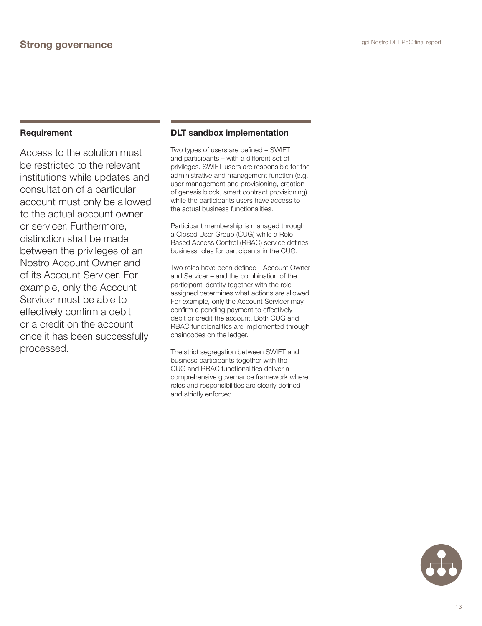Access to the solution must be restricted to the relevant institutions while updates and consultation of a particular account must only be allowed to the actual account owner or servicer. Furthermore, distinction shall be made between the privileges of an Nostro Account Owner and of its Account Servicer. For example, only the Account Servicer must be able to effectively confirm a debit or a credit on the account once it has been successfully processed.

### DLT sandbox implementation

Two types of users are defined – SWIFT and participants – with a different set of privileges. SWIFT users are responsible for the administrative and management function (e.g. user management and provisioning, creation of genesis block, smart contract provisioning) while the participants users have access to the actual business functionalities.

Participant membership is managed through a Closed User Group (CUG) while a Role Based Access Control (RBAC) service defines business roles for participants in the CUG.

Two roles have been defined - Account Owner and Servicer – and the combination of the participant identity together with the role assigned determines what actions are allowed. For example, only the Account Servicer may confirm a pending payment to effectively debit or credit the account. Both CUG and RBAC functionalities are implemented through chaincodes on the ledger.

The strict segregation between SWIFT and business participants together with the CUG and RBAC functionalities deliver a comprehensive governance framework where roles and responsibilities are clearly defined and strictly enforced.

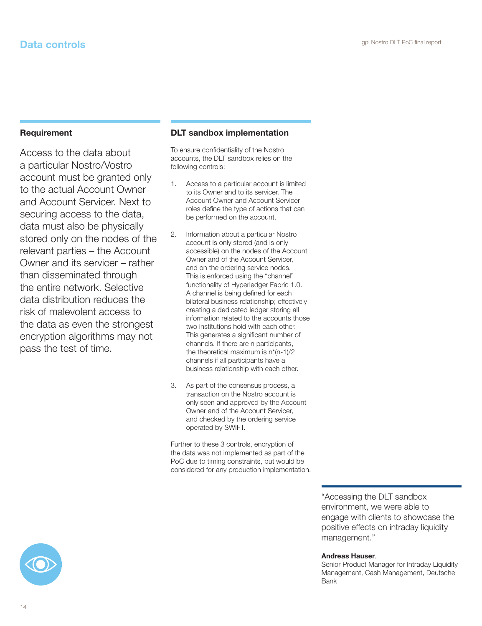Access to the data about a particular Nostro/Vostro account must be granted only to the actual Account Owner and Account Servicer. Next to securing access to the data, data must also be physically stored only on the nodes of the relevant parties – the Account Owner and its servicer – rather than disseminated through the entire network. Selective data distribution reduces the risk of malevolent access to the data as even the strongest encryption algorithms may not pass the test of time.

#### DLT sandbox implementation

To ensure confidentiality of the Nostro accounts, the DLT sandbox relies on the following controls:

- Access to a particular account is limited to its Owner and to its servicer. The Account Owner and Account Servicer roles define the type of actions that can be performed on the account.
- 2. Information about a particular Nostro account is only stored (and is only accessible) on the nodes of the Account Owner and of the Account Servicer, and on the ordering service nodes. This is enforced using the "channel" functionality of Hyperledger Fabric 1.0. A channel is being defined for each bilateral business relationship; effectively creating a dedicated ledger storing all information related to the accounts those two institutions hold with each other. This generates a significant number of channels. If there are n participants, the theoretical maximum is n\*(n-1)/2 channels if all participants have a business relationship with each other.
- 3. As part of the consensus process, a transaction on the Nostro account is only seen and approved by the Account Owner and of the Account Servicer, and checked by the ordering service operated by SWIFT.

Further to these 3 controls, encryption of the data was not implemented as part of the PoC due to timing constraints, but would be considered for any production implementation.

> "Accessing the DLT sandbox environment, we were able to engage with clients to showcase the positive effects on intraday liquidity management."

#### Andreas Hauser,

Senior Product Manager for Intraday Liquidity Management, Cash Management, Deutsche Bank

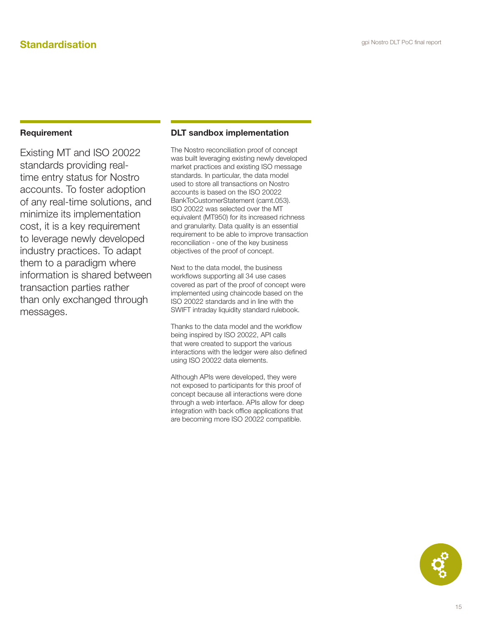Existing MT and ISO 20022 standards providing realtime entry status for Nostro accounts. To foster adoption of any real-time solutions, and minimize its implementation cost, it is a key requirement to leverage newly developed industry practices. To adapt them to a paradigm where information is shared between transaction parties rather than only exchanged through messages.

#### DLT sandbox implementation

The Nostro reconciliation proof of concept was built leveraging existing newly developed market practices and existing ISO message standards. In particular, the data model used to store all transactions on Nostro accounts is based on the ISO 20022 BankToCustomerStatement (camt.053). ISO 20022 was selected over the MT equivalent (MT950) for its increased richness and granularity. Data quality is an essential requirement to be able to improve transaction reconciliation - one of the key business objectives of the proof of concept.

Next to the data model, the business workflows supporting all 34 use cases covered as part of the proof of concept were implemented using chaincode based on the ISO 20022 standards and in line with the SWIFT intraday liquidity standard rulebook.

Thanks to the data model and the workflow being inspired by ISO 20022, API calls that were created to support the various interactions with the ledger were also defined using ISO 20022 data elements.

Although APIs were developed, they were not exposed to participants for this proof of concept because all interactions were done through a web interface. APIs allow for deep integration with back office applications that are becoming more ISO 20022 compatible.

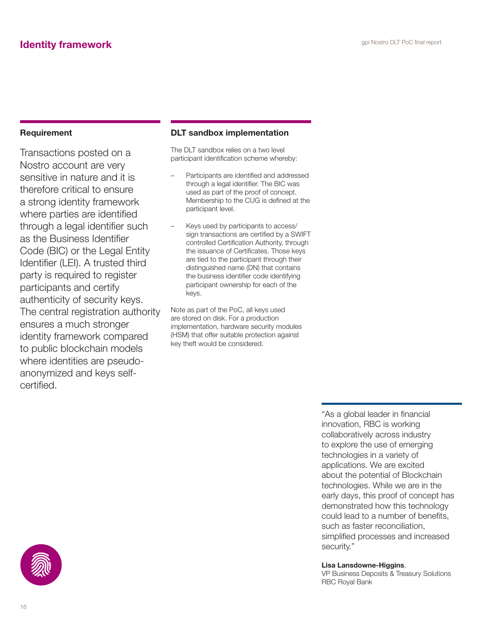Transactions posted on a Nostro account are very sensitive in nature and it is therefore critical to ensure a strong identity framework where parties are identified through a legal identifier such as the Business Identifier Code (BIC) or the Legal Entity Identifier (LEI). A trusted third party is required to register participants and certify authenticity of security keys. The central registration authority ensures a much stronger identity framework compared to public blockchain models where identities are pseudoanonymized and keys selfcertified.

#### DLT sandbox implementation

The DLT sandbox relies on a two level participant identification scheme whereby:

- Participants are identified and addressed through a legal identifier. The BIC was used as part of the proof of concept. Membership to the CUG is defined at the participant level.
- Keys used by participants to access/ sign transactions are certified by a SWIFT controlled Certification Authority, through the issuance of Certificates. Those keys are tied to the participant through their distinguished name (DN) that contains the business identifier code identifying participant ownership for each of the keys.

Note as part of the PoC, all keys used are stored on disk. For a production implementation, hardware security modules (HSM) that offer suitable protection against key theft would be considered.

> "As a global leader in financial innovation, RBC is working collaboratively across industry to explore the use of emerging technologies in a variety of applications. We are excited about the potential of Blockchain technologies. While we are in the early days, this proof of concept has demonstrated how this technology could lead to a number of benefits, such as faster reconciliation, simplified processes and increased security."

#### Lisa Lansdowne-Higgins,

VP Business Deposits & Treasury Solutions RBC Royal Bank

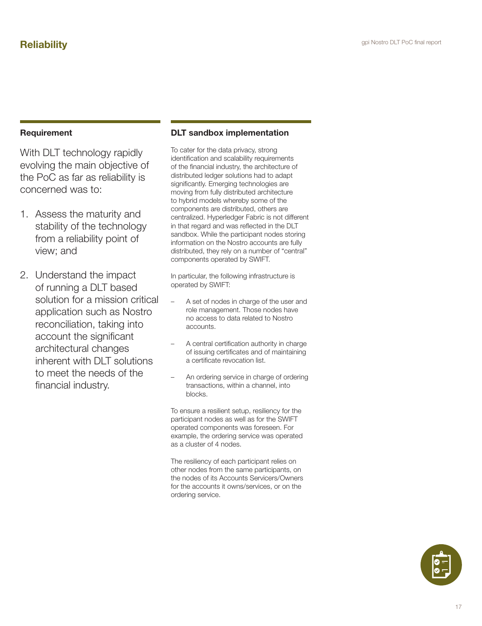With DLT technology rapidly evolving the main objective of the PoC as far as reliability is concerned was to:

- 1. Assess the maturity and stability of the technology from a reliability point of view; and
- 2. Understand the impact of running a DLT based solution for a mission critical application such as Nostro reconciliation, taking into account the significant architectural changes inherent with DLT solutions to meet the needs of the financial industry.

### DLT sandbox implementation

To cater for the data privacy, strong identification and scalability requirements of the financial industry, the architecture of distributed ledger solutions had to adapt significantly. Emerging technologies are moving from fully distributed architecture to hybrid models whereby some of the components are distributed, others are centralized. Hyperledger Fabric is not different in that regard and was reflected in the DLT sandbox. While the participant nodes storing information on the Nostro accounts are fully distributed, they rely on a number of "central" components operated by SWIFT.

In particular, the following infrastructure is operated by SWIFT:

- A set of nodes in charge of the user and role management. Those nodes have no access to data related to Nostro accounts.
- A central certification authority in charge of issuing certificates and of maintaining a certificate revocation list.
- An ordering service in charge of ordering transactions, within a channel, into blocks.

To ensure a resilient setup, resiliency for the participant nodes as well as for the SWIFT operated components was foreseen. For example, the ordering service was operated as a cluster of 4 nodes.

The resiliency of each participant relies on other nodes from the same participants, on the nodes of its Accounts Servicers/Owners for the accounts it owns/services, or on the ordering service.

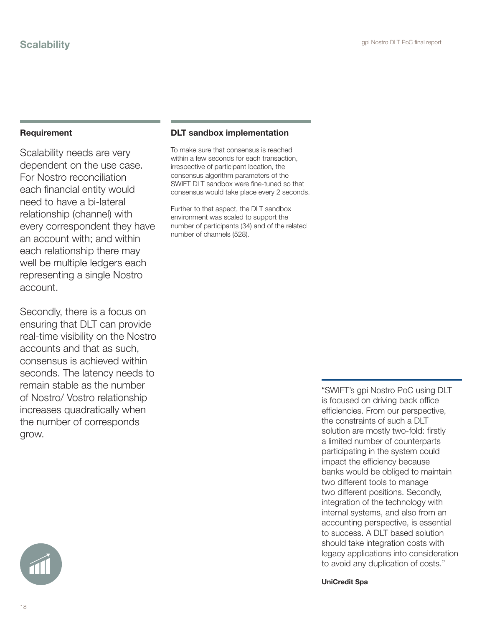Scalability needs are very dependent on the use case. For Nostro reconciliation each financial entity would need to have a bi-lateral relationship (channel) with every correspondent they have an account with; and within each relationship there may well be multiple ledgers each representing a single Nostro account.

Secondly, there is a focus on ensuring that DLT can provide real-time visibility on the Nostro accounts and that as such, consensus is achieved within seconds. The latency needs to remain stable as the number of Nostro/ Vostro relationship increases quadratically when the number of corresponds grow.

#### DLT sandbox implementation

To make sure that consensus is reached within a few seconds for each transaction, irrespective of participant location, the consensus algorithm parameters of the SWIFT DLT sandbox were fine-tuned so that consensus would take place every 2 seconds.

Further to that aspect, the DLT sandbox environment was scaled to support the number of participants (34) and of the related number of channels (528).

> "SWIFT's gpi Nostro PoC using DLT is focused on driving back office efficiencies. From our perspective, the constraints of such a DLT solution are mostly two-fold: firstly a limited number of counterparts participating in the system could impact the efficiency because banks would be obliged to maintain two different tools to manage two different positions. Secondly, integration of the technology with internal systems, and also from an accounting perspective, is essential to success. A DLT based solution should take integration costs with legacy applications into consideration to avoid any duplication of costs."

UniCredit Spa

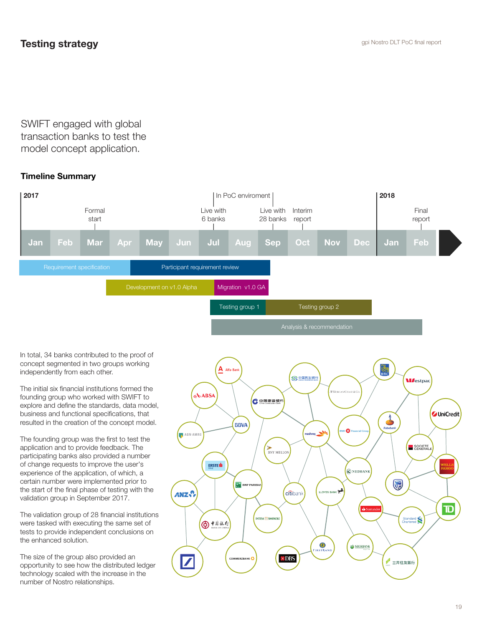SWIFT engaged with global transaction banks to test the model concept application.

## Timeline Summary



In total, 34 banks contributed to the proof of concept segmented in two groups working independently from each other.

The initial six financial institutions formed the founding group who worked with SWIFT to explore and define the standards, data model, business and functional specifications, that resulted in the creation of the concept model.

The founding group was the first to test the application and to provide feedback. The participating banks also provided a number of change requests to improve the user's experience of the application, of which, a certain number were implemented prior to the start of the final phase of testing with the validation group in September 2017.

The validation group of 28 financial institutions were tasked with executing the same set of tests to provide independent conclusions on the enhanced solution.

The size of the group also provided an opportunity to see how the distributed ledger technology scaled with the increase in the number of Nostro relationships.

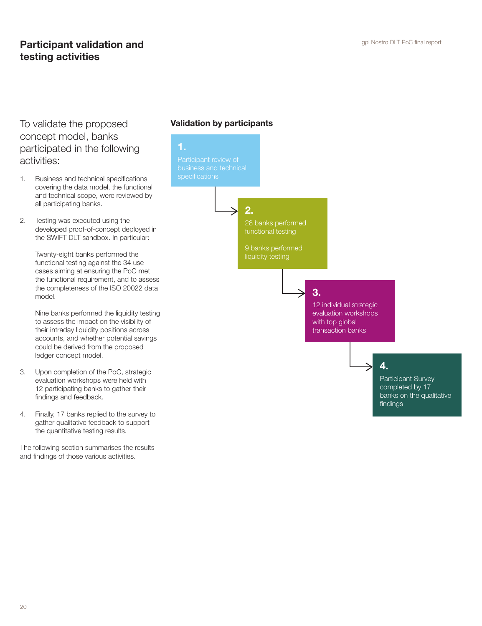## **Participant validation and Constanting Constant Participant validation and Participant validation and** testing activities

To validate the proposed concept model, banks participated in the following activities:

- 1. Business and technical specifications covering the data model, the functional and technical scope, were reviewed by all participating banks.
- 2. Testing was executed using the developed proof-of-concept deployed in the SWIFT DLT sandbox. In particular:

Twenty-eight banks performed the functional testing against the 34 use cases aiming at ensuring the PoC met the functional requirement, and to assess the completeness of the ISO 20022 data model.

Nine banks performed the liquidity testing to assess the impact on the visibility of their intraday liquidity positions across accounts, and whether potential savings could be derived from the proposed ledger concept model.

- 3. Upon completion of the PoC, strategic evaluation workshops were held with 12 participating banks to gather their findings and feedback.
- 4. Finally, 17 banks replied to the survey to gather qualitative feedback to support the quantitative testing results.

The following section summarises the results and findings of those various activities.

## Validation by participants

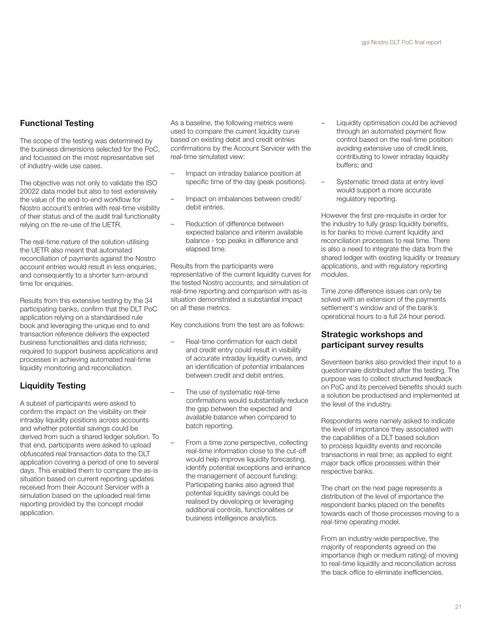## Functional Testing

The scope of the testing was determined by the business dimensions selected for the PoC, and focussed on the most representative set of industry-wide use cases.

The objective was not only to validate the ISO 20022 data model but also to test extensively the value of the end-to-end workflow for Nostro account's entries with real-time visibility of their status and of the audit trail functionality relying on the re-use of the UETR.

The real-time nature of the solution utilising the UETR also meant that automated reconciliation of payments against the Nostro account entries would result in less enquiries, and consequently to a shorter turn-around time for enquiries.

Results from this extensive testing by the 34 participating banks, confirm that the DLT PoC application relying on a standardised rule book and leveraging the unique end to end transaction reference delivers the expected business functionalities and data richness; required to support business applications and processes in achieving automated real-time liquidity monitoring and reconciliation.

## Liquidity Testing

A subset of participants were asked to confirm the impact on the visibility on their intraday liquidity positions across accounts and whether potential savings could be derived from such a shared ledger solution. To that end, participants were asked to upload obfuscated real transaction data to the DLT application covering a period of one to several days. This enabled them to compare the as-is situation based on current reporting updates received from their Account Servicer with a simulation based on the uploaded real-time reporting provided by the concept model application.

As a baseline, the following metrics were used to compare the current liquidity curve based on existing debit and credit entries confirmations by the Account Servicer with the real-time simulated view:

- Impact on intraday balance position at specific time of the day (peak positions).
- Impact on imbalances between credit/ debit entries.
- Reduction of difference between expected balance and interim available balance - top peaks in difference and elapsed time.

Results from the participants were representative of the current liquidity curves for the tested Nostro accounts, and simulation of real-time reporting and comparison with as-is situation demonstrated a substantial impact on all these metrics.

Key conclusions from the test are as follows:

- Real-time confirmation for each debit and credit entry could result in visibility of accurate intraday liquidity curves, and an identification of potential imbalances between credit and debit entries.
- The use of systematic real-time confirmations would substantially reduce the gap between the expected and available balance when compared to batch reporting.
- From a time zone perspective, collecting real-time information close to the cut-off would help improve liquidity forecasting. identify potential exceptions and enhance the management of account funding: Participating banks also agreed that potential liquidity savings could be realised by developing or leveraging additional controls, functionalities or business intelligence analytics.
- Liquidity optimisation could be achieved through an automated payment flow control based on the real-time position avoiding extensive use of credit lines, contributing to lower intraday liquidity buffers; and
- Systematic timed data at entry level would support a more accurate regulatory reporting.

However the first pre-requisite in order for the industry to fully grasp liquidity benefits, is for banks to move current liquidity and reconciliation processes to real time. There is also a need to integrate the data from the shared ledger with existing liquidity or treasury applications, and with regulatory reporting modules.

Time zone difference issues can only be solved with an extension of the payments settlement's window and of the bank's operational hours to a full 24 hour period.

### Strategic workshops and participant survey results

Seventeen banks also provided their input to a questionnaire distributed after the testing. The purpose was to collect structured feedback on PoC and its perceived benefits should such a solution be productised and implemented at the level of the industry.

Respondents were namely asked to indicate the level of importance they associated with the capabilities of a DLT based solution to process liquidity events and reconcile transactions in real time; as applied to eight major back office processes within their respective banks.

The chart on the next page represents a distribution of the level of importance the respondent banks placed on the benefits towards each of those processes moving to a real-time operating model.

From an industry-wide perspective, the majority of respondents agreed on the importance (high or medium rating) of moving to real-time liquidity and reconciliation across the back office to eliminate inefficiencies.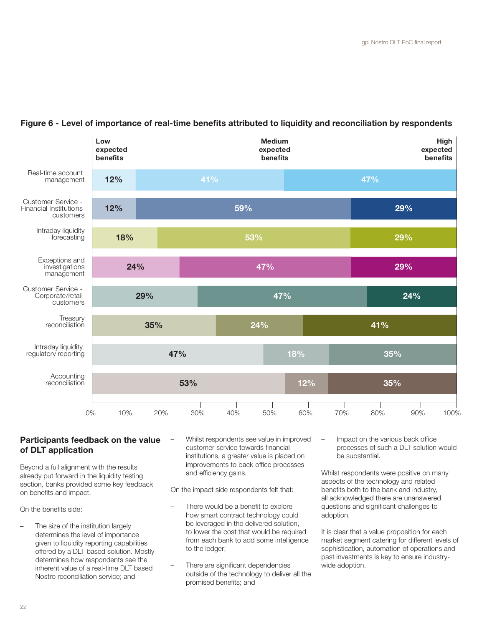

## Figure 6 - Level of importance of real-time benefits attributed to liquidity and reconciliation by respondents

## Participants feedback on the value of DLT application

Beyond a full alignment with the results already put forward in the liquidity testing section, banks provided some key feedback on benefits and impact.

On the benefits side:

- The size of the institution largely determines the level of importance given to liquidity reporting capabilities offered by a DLT based solution. Mostly determines how respondents see the inherent value of a real-time DLT based Nostro reconciliation service; and
- Whilst respondents see value in improved customer service towards financial institutions, a greater value is placed on improvements to back office processes and efficiency gains.

On the impact side respondents felt that:

- There would be a benefit to explore how smart contract technology could be leveraged in the delivered solution, to lower the cost that would be required from each bank to add some intelligence to the ledger;
- There are significant dependencies outside of the technology to deliver all the promised benefits; and

– Impact on the various back office processes of such a DLT solution would be substantial.

Whilst respondents were positive on many aspects of the technology and related benefits both to the bank and industry, all acknowledged there are unanswered questions and significant challenges to adoption.

It is clear that a value proposition for each market segment catering for different levels of sophistication, automation of operations and past investments is key to ensure industrywide adoption.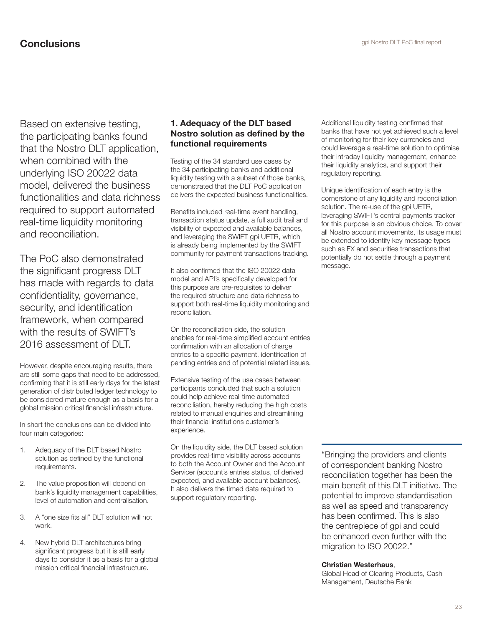Based on extensive testing, the participating banks found that the Nostro DLT application, when combined with the underlying ISO 20022 data model, delivered the business functionalities and data richness required to support automated real-time liquidity monitoring and reconciliation.

The PoC also demonstrated the significant progress DLT has made with regards to data confidentiality, governance, security, and identification framework, when compared with the results of SWIFT's 2016 assessment of DLT.

However, despite encouraging results, there are still some gaps that need to be addressed, confirming that it is still early days for the latest generation of distributed ledger technology to be considered mature enough as a basis for a global mission critical financial infrastructure.

In short the conclusions can be divided into four main categories:

- 1. Adequacy of the DLT based Nostro solution as defined by the functional requirements.
- 2. The value proposition will depend on bank's liquidity management capabilities, level of automation and centralisation.
- 3. A "one size fits all" DLT solution will not work.
- 4. New hybrid DLT architectures bring significant progress but it is still early days to consider it as a basis for a global mission critical financial infrastructure.

#### 1. Adequacy of the DLT based Nostro solution as defined by the functional requirements

Testing of the 34 standard use cases by the 34 participating banks and additional liquidity testing with a subset of those banks, demonstrated that the DLT PoC application delivers the expected business functionalities.

Benefits included real-time event handling, transaction status update, a full audit trail and visibility of expected and available balances, and leveraging the SWIFT gpi UETR, which is already being implemented by the SWIFT community for payment transactions tracking.

It also confirmed that the ISO 20022 data model and API's specifically developed for this purpose are pre-requisites to deliver the required structure and data richness to support both real-time liquidity monitoring and reconciliation.

On the reconciliation side, the solution enables for real-time simplified account entries confirmation with an allocation of charge entries to a specific payment, identification of pending entries and of potential related issues.

Extensive testing of the use cases between participants concluded that such a solution could help achieve real-time automated reconciliation, hereby reducing the high costs related to manual enquiries and streamlining their financial institutions customer's experience.

On the liquidity side, the DLT based solution provides real-time visibility across accounts to both the Account Owner and the Account Servicer (account's entries status, of derived expected, and available account balances). It also delivers the timed data required to support regulatory reporting.

Additional liquidity testing confirmed that banks that have not yet achieved such a level of monitoring for their key currencies and could leverage a real-time solution to optimise their intraday liquidity management, enhance their liquidity analytics, and support their regulatory reporting.

Unique identification of each entry is the cornerstone of any liquidity and reconciliation solution. The re-use of the gpi UETR, leveraging SWIFT's central payments tracker for this purpose is an obvious choice. To cover all Nostro account movements, its usage must be extended to identify key message types such as FX and securities transactions that potentially do not settle through a payment message.

"Bringing the providers and clients of correspondent banking Nostro reconciliation together has been the main benefit of this DLT initiative. The potential to improve standardisation as well as speed and transparency has been confirmed. This is also the centrepiece of gpi and could be enhanced even further with the migration to ISO 20022."

#### Christian Westerhaus,

Global Head of Clearing Products, Cash Management, Deutsche Bank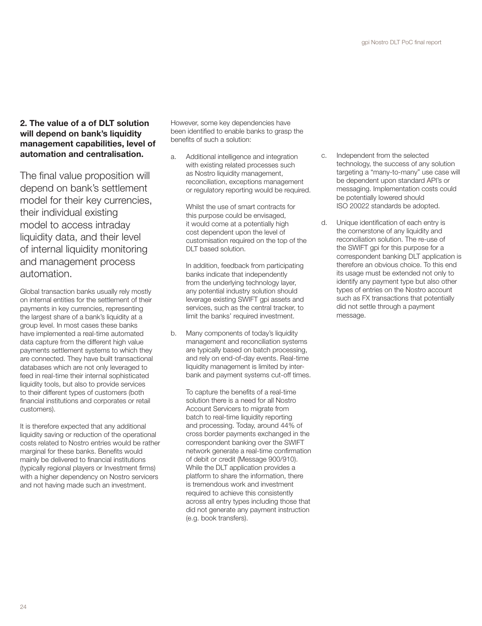### 2. The value of a of DLT solution will depend on bank's liquidity management capabilities, level of automation and centralisation.

The final value proposition will depend on bank's settlement model for their key currencies, their individual existing model to access intraday liquidity data, and their level of internal liquidity monitoring and management process automation.

Global transaction banks usually rely mostly on internal entities for the settlement of their payments in key currencies, representing the largest share of a bank's liquidity at a group level. In most cases these banks have implemented a real-time automated data capture from the different high value payments settlement systems to which they are connected. They have built transactional databases which are not only leveraged to feed in real-time their internal sophisticated liquidity tools, but also to provide services to their different types of customers (both financial institutions and corporates or retail customers).

It is therefore expected that any additional liquidity saving or reduction of the operational costs related to Nostro entries would be rather marginal for these banks. Benefits would mainly be delivered to financial institutions (typically regional players or Investment firms) with a higher dependency on Nostro servicers and not having made such an investment.

However, some key dependencies have been identified to enable banks to grasp the benefits of such a solution:

a. Additional intelligence and integration with existing related processes such as Nostro liquidity management. reconciliation, exceptions management or regulatory reporting would be required.

> Whilst the use of smart contracts for this purpose could be envisaged, it would come at a potentially high cost dependent upon the level of customisation required on the top of the DLT based solution.

In addition, feedback from participating banks indicate that independently from the underlying technology layer, any potential industry solution should leverage existing SWIFT gpi assets and services, such as the central tracker, to limit the banks' required investment.

b. Many components of today's liquidity management and reconciliation systems are typically based on batch processing, and rely on end-of-day events. Real-time liquidity management is limited by interbank and payment systems cut-off times.

> To capture the benefits of a real-time solution there is a need for all Nostro Account Servicers to migrate from batch to real-time liquidity reporting and processing. Today, around 44% of cross border payments exchanged in the correspondent banking over the SWIFT network generate a real-time confirmation of debit or credit (Message 900/910). While the DLT application provides a platform to share the information, there is tremendous work and investment required to achieve this consistently across all entry types including those that did not generate any payment instruction (e.g. book transfers).

- c. Independent from the selected technology, the success of any solution targeting a "many-to-many" use case will be dependent upon standard API's or messaging. Implementation costs could be potentially lowered should ISO 20022 standards be adopted.
- d. Unique identification of each entry is the cornerstone of any liquidity and reconciliation solution. The re-use of the SWIFT gpi for this purpose for a correspondent banking DLT application is therefore an obvious choice. To this end its usage must be extended not only to identify any payment type but also other types of entries on the Nostro account such as FX transactions that potentially did not settle through a payment message.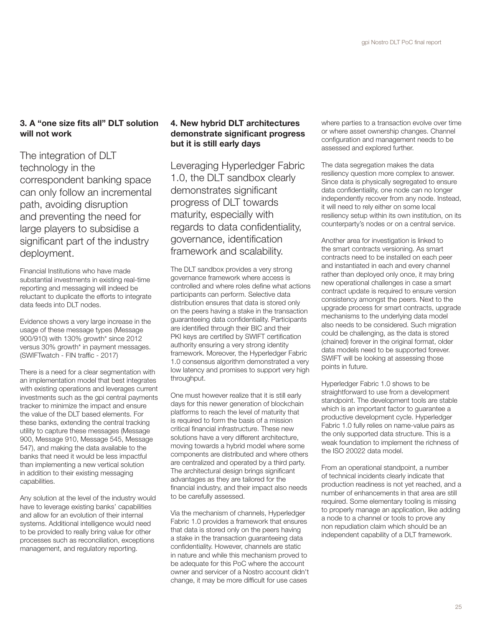## 3. A "one size fits all" DLT solution will not work

The integration of DLT technology in the correspondent banking space can only follow an incremental path, avoiding disruption and preventing the need for large players to subsidise a significant part of the industry deployment.

Financial Institutions who have made substantial investments in existing real-time reporting and messaging will indeed be reluctant to duplicate the efforts to integrate data feeds into DLT nodes.

Evidence shows a very large increase in the usage of these message types (Message 900/910) with 130% growth\* since 2012 versus 30% growth\* in payment messages. (SWIFTwatch - FIN traffic - 2017)

There is a need for a clear segmentation with an implementation model that best integrates with existing operations and leverages current investments such as the gpi central payments tracker to minimize the impact and ensure the value of the DLT based elements. For these banks, extending the central tracking utility to capture these messages (Message 900, Message 910, Message 545, Message 547), and making the data available to the banks that need it would be less impactful than implementing a new vertical solution in addition to their existing messaging capabilities.

Any solution at the level of the industry would have to leverage existing banks' capabilities and allow for an evolution of their internal systems. Additional intelligence would need to be provided to really bring value for other processes such as reconciliation, exceptions management, and regulatory reporting.

### 4. New hybrid DLT architectures demonstrate significant progress but it is still early days

Leveraging Hyperledger Fabric 1.0, the DLT sandbox clearly demonstrates significant progress of DLT towards maturity, especially with regards to data confidentiality, governance, identification framework and scalability.

The DLT sandbox provides a very strong governance framework where access is controlled and where roles define what actions participants can perform. Selective data distribution ensures that data is stored only on the peers having a stake in the transaction guaranteeing data confidentiality. Participants are identified through their BIC and their PKI keys are certified by SWIFT certification authority ensuring a very strong identity framework. Moreover, the Hyperledger Fabric 1.0 consensus algorithm demonstrated a very low latency and promises to support very high throughput.

One must however realize that it is still early days for this newer generation of blockchain platforms to reach the level of maturity that is required to form the basis of a mission critical financial infrastructure. These new solutions have a very different architecture, moving towards a hybrid model where some components are distributed and where others are centralized and operated by a third party. The architectural design brings significant advantages as they are tailored for the financial industry, and their impact also needs to be carefully assessed.

Via the mechanism of channels, Hyperledger Fabric 1.0 provides a framework that ensures that data is stored only on the peers having a stake in the transaction guaranteeing data confidentiality. However, channels are static in nature and while this mechanism proved to be adequate for this PoC where the account owner and servicer of a Nostro account didn't change, it may be more difficult for use cases

where parties to a transaction evolve over time or where asset ownership changes. Channel configuration and management needs to be assessed and explored further.

The data segregation makes the data resiliency question more complex to answer. Since data is physically segregated to ensure data confidentiality, one node can no longer independently recover from any node. Instead, it will need to rely either on some local resiliency setup within its own institution, on its counterparty's nodes or on a central service.

Another area for investigation is linked to the smart contracts versioning. As smart contracts need to be installed on each peer and instantiated in each and every channel rather than deployed only once, it may bring new operational challenges in case a smart contract update is required to ensure version consistency amongst the peers. Next to the upgrade process for smart contracts, upgrade mechanisms to the underlying data model also needs to be considered. Such migration could be challenging, as the data is stored (chained) forever in the original format, older data models need to be supported forever. SWIFT will be looking at assessing those points in future.

Hyperledger Fabric 1.0 shows to be straightforward to use from a development standpoint. The development tools are stable which is an important factor to guarantee a productive development cycle. Hyperledger Fabric 1.0 fully relies on name-value pairs as the only supported data structure. This is a weak foundation to implement the richness of the ISO 20022 data model.

From an operational standpoint, a number of technical incidents clearly indicate that production readiness is not yet reached, and a number of enhancements in that area are still required. Some elementary tooling is missing to properly manage an application, like adding a node to a channel or tools to prove any non repudiation claim which should be an independent capability of a DLT framework.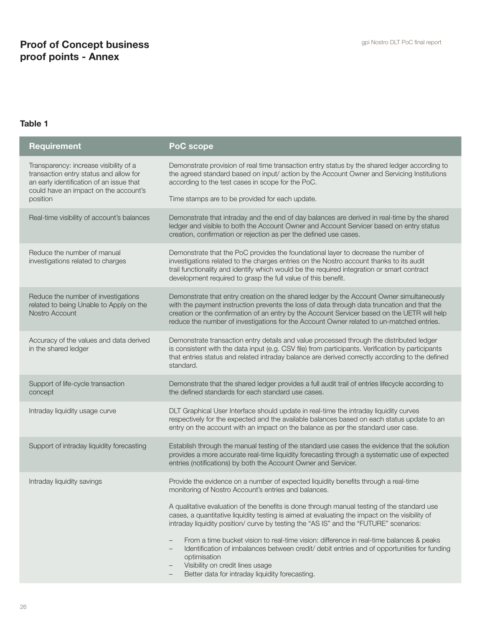# **Proof of Concept business Example 2018** and the spin Nostro DLT PoC final report proof points - Annex

## Table 1

| <b>Requirement</b>                                                                                                                                                    | PoC scope                                                                                                                                                                                                                                                                                                                                                                           |
|-----------------------------------------------------------------------------------------------------------------------------------------------------------------------|-------------------------------------------------------------------------------------------------------------------------------------------------------------------------------------------------------------------------------------------------------------------------------------------------------------------------------------------------------------------------------------|
| Transparency: increase visibility of a<br>transaction entry status and allow for<br>an early identification of an issue that<br>could have an impact on the account's | Demonstrate provision of real time transaction entry status by the shared ledger according to<br>the agreed standard based on input/action by the Account Owner and Servicing Institutions<br>according to the test cases in scope for the PoC.                                                                                                                                     |
| position                                                                                                                                                              | Time stamps are to be provided for each update.                                                                                                                                                                                                                                                                                                                                     |
| Real-time visibility of account's balances                                                                                                                            | Demonstrate that intraday and the end of day balances are derived in real-time by the shared<br>ledger and visible to both the Account Owner and Account Servicer based on entry status<br>creation, confirmation or rejection as per the defined use cases.                                                                                                                        |
| Reduce the number of manual<br>investigations related to charges                                                                                                      | Demonstrate that the PoC provides the foundational layer to decrease the number of<br>investigations related to the charges entries on the Nostro account thanks to its audit<br>trail functionality and identify which would be the required integration or smart contract<br>development required to grasp the full value of this benefit.                                        |
| Reduce the number of investigations<br>related to being Unable to Apply on the<br>Nostro Account                                                                      | Demonstrate that entry creation on the shared ledger by the Account Owner simultaneously<br>with the payment instruction prevents the loss of data through data truncation and that the<br>creation or the confirmation of an entry by the Account Servicer based on the UETR will help<br>reduce the number of investigations for the Account Owner related to un-matched entries. |
| Accuracy of the values and data derived<br>in the shared ledger                                                                                                       | Demonstrate transaction entry details and value processed through the distributed ledger<br>is consistent with the data input (e.g. CSV file) from participants. Verification by participants<br>that entries status and related intraday balance are derived correctly according to the defined<br>standard.                                                                       |
| Support of life-cycle transaction<br>concept                                                                                                                          | Demonstrate that the shared ledger provides a full audit trail of entries lifecycle according to<br>the defined standards for each standard use cases.                                                                                                                                                                                                                              |
| Intraday liquidity usage curve                                                                                                                                        | DLT Graphical User Interface should update in real-time the intraday liquidity curves<br>respectively for the expected and the available balances based on each status update to an<br>entry on the account with an impact on the balance as per the standard user case.                                                                                                            |
| Support of intraday liquidity forecasting                                                                                                                             | Establish through the manual testing of the standard use cases the evidence that the solution<br>provides a more accurate real-time liquidity forecasting through a systematic use of expected<br>entries (notifications) by both the Account Owner and Servicer.                                                                                                                   |
| Intraday liquidity savings                                                                                                                                            | Provide the evidence on a number of expected liquidity benefits through a real-time<br>monitoring of Nostro Account's entries and balances.                                                                                                                                                                                                                                         |
|                                                                                                                                                                       | A qualitative evaluation of the benefits is done through manual testing of the standard use<br>cases, a quantitative liquidity testing is aimed at evaluating the impact on the visibility of<br>intraday liquidity position/ curve by testing the "AS IS" and the "FUTURE" scenarios:                                                                                              |
|                                                                                                                                                                       | From a time bucket vision to real-time vision: difference in real-time balances & peaks<br>$\overline{\phantom{0}}$<br>Identification of imbalances between credit/ debit entries and of opportunities for funding<br>$\overline{\phantom{0}}$<br>optimisation<br>Visibility on credit lines usage<br>$\qquad \qquad -$                                                             |
|                                                                                                                                                                       | Better data for intraday liquidity forecasting.                                                                                                                                                                                                                                                                                                                                     |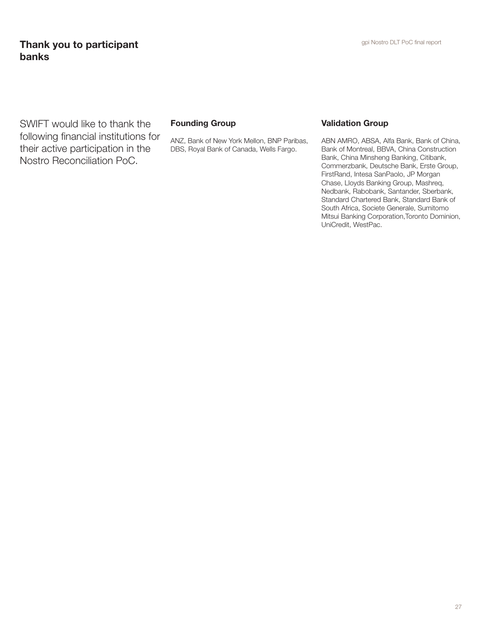# **Thank you to participant Exercise 2018** Spin Nostro DLT PoC final report **Thank** you to participant banks

SWIFT would like to thank the following financial institutions for their active participation in the Nostro Reconciliation PoC.

### Founding Group

ANZ, Bank of New York Mellon, BNP Paribas, DBS, Royal Bank of Canada, Wells Fargo.

#### Validation Group

ABN AMRO, ABSA, Alfa Bank, Bank of China, Bank of Montreal, BBVA, China Construction Bank, China Minsheng Banking, Citibank, Commerzbank, Deutsche Bank, Erste Group, FirstRand, Intesa SanPaolo, JP Morgan Chase, Lloyds Banking Group, Mashreq, Nedbank, Rabobank, Santander, Sberbank, Standard Chartered Bank, Standard Bank of South Africa, Societe Generale, Sumitomo Mitsui Banking Corporation, Toronto Dominion, UniCredit, WestPac.